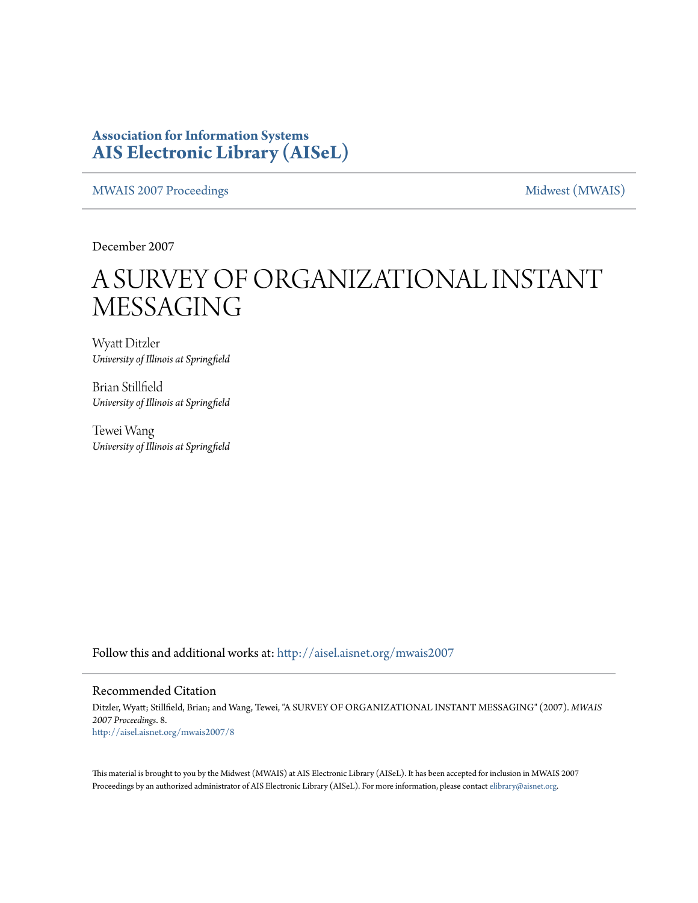### **Association for Information Systems [AIS Electronic Library \(AISeL\)](http://aisel.aisnet.org?utm_source=aisel.aisnet.org%2Fmwais2007%2F8&utm_medium=PDF&utm_campaign=PDFCoverPages)**

[MWAIS 2007 Proceedings](http://aisel.aisnet.org/mwais2007?utm_source=aisel.aisnet.org%2Fmwais2007%2F8&utm_medium=PDF&utm_campaign=PDFCoverPages) and the matrix of the [Midwest \(MWAIS\)](http://aisel.aisnet.org/mwais?utm_source=aisel.aisnet.org%2Fmwais2007%2F8&utm_medium=PDF&utm_campaign=PDFCoverPages)

December 2007

# A SURVEY OF ORGANIZATIONAL INSTANT MESSAGING

Wyatt Ditzler *University of Illinois at Springfield*

Brian Stillfield *University of Illinois at Springfield*

Tewei Wang *University of Illinois at Springfield*

Follow this and additional works at: [http://aisel.aisnet.org/mwais2007](http://aisel.aisnet.org/mwais2007?utm_source=aisel.aisnet.org%2Fmwais2007%2F8&utm_medium=PDF&utm_campaign=PDFCoverPages)

#### Recommended Citation

Ditzler, Wyatt; Stillfield, Brian; and Wang, Tewei, "A SURVEY OF ORGANIZATIONAL INSTANT MESSAGING" (2007). *MWAIS 2007 Proceedings*. 8. [http://aisel.aisnet.org/mwais2007/8](http://aisel.aisnet.org/mwais2007/8?utm_source=aisel.aisnet.org%2Fmwais2007%2F8&utm_medium=PDF&utm_campaign=PDFCoverPages)

This material is brought to you by the Midwest (MWAIS) at AIS Electronic Library (AISeL). It has been accepted for inclusion in MWAIS 2007 Proceedings by an authorized administrator of AIS Electronic Library (AISeL). For more information, please contact [elibrary@aisnet.org](mailto:elibrary@aisnet.org%3E).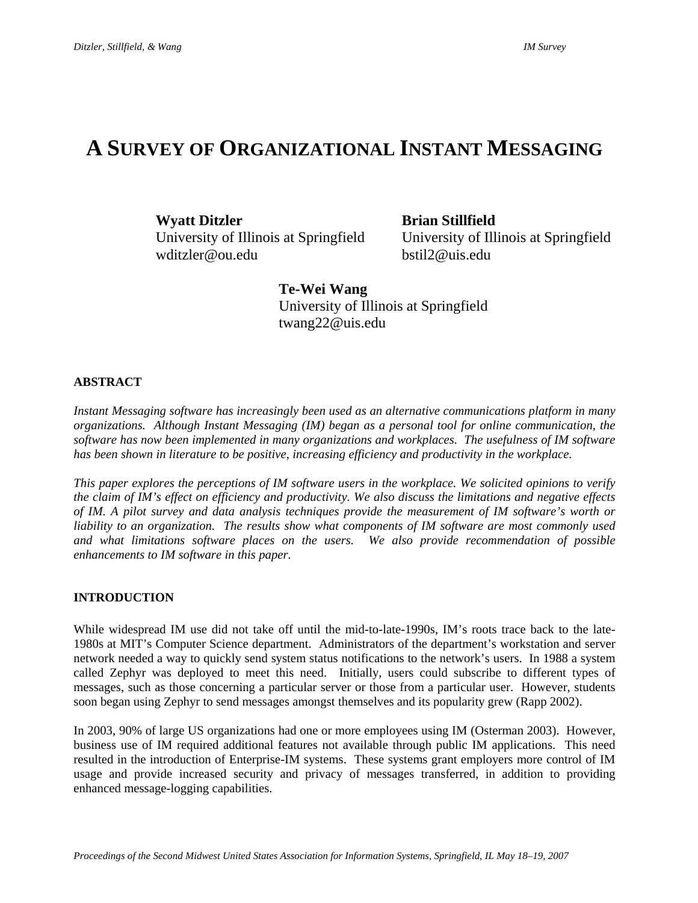## **A SURVEY OF ORGANIZATIONAL INSTANT MESSAGING**

wditzler@ou.edu bstil2@uis.edu

**Wyatt Ditzler Brian Stillfield** 

University of Illinois at Springfield University of Illinois at Springfield

**Te-Wei Wang**  University of Illinois at Springfield twang22@uis.edu

#### **ABSTRACT**

*Instant Messaging software has increasingly been used as an alternative communications platform in many organizations. Although Instant Messaging (IM) began as a personal tool for online communication, the software has now been implemented in many organizations and workplaces. The usefulness of IM software has been shown in literature to be positive, increasing efficiency and productivity in the workplace.* 

*This paper explores the perceptions of IM software users in the workplace. We solicited opinions to verify the claim of IM's effect on efficiency and productivity. We also discuss the limitations and negative effects of IM. A pilot survey and data analysis techniques provide the measurement of IM software's worth or liability to an organization. The results show what components of IM software are most commonly used and what limitations software places on the users. We also provide recommendation of possible enhancements to IM software in this paper.* 

#### **INTRODUCTION**

While widespread IM use did not take off until the mid-to-late-1990s, IM's roots trace back to the late-1980s at MIT's Computer Science department. Administrators of the department's workstation and server network needed a way to quickly send system status notifications to the network's users. In 1988 a system called Zephyr was deployed to meet this need. Initially, users could subscribe to different types of messages, such as those concerning a particular server or those from a particular user. However, students soon began using Zephyr to send messages amongst themselves and its popularity grew (Rapp 2002).

In 2003, 90% of large US organizations had one or more employees using IM (Osterman 2003). However, business use of IM required additional features not available through public IM applications. This need resulted in the introduction of Enterprise-IM systems. These systems grant employers more control of IM usage and provide increased security and privacy of messages transferred, in addition to providing enhanced message-logging capabilities.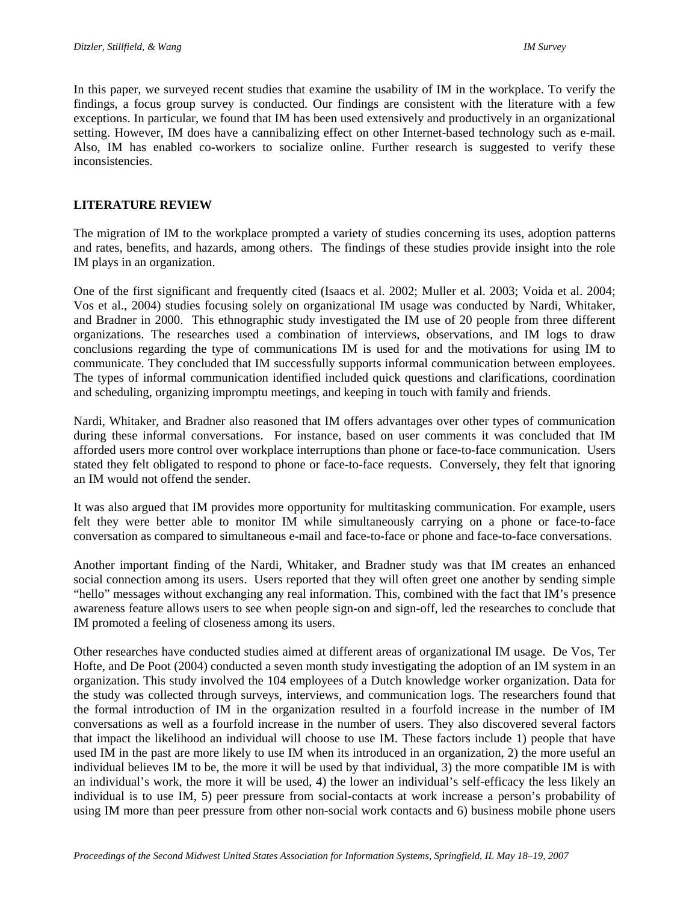In this paper, we surveyed recent studies that examine the usability of IM in the workplace. To verify the findings, a focus group survey is conducted. Our findings are consistent with the literature with a few exceptions. In particular, we found that IM has been used extensively and productively in an organizational setting. However, IM does have a cannibalizing effect on other Internet-based technology such as e-mail. Also, IM has enabled co-workers to socialize online. Further research is suggested to verify these inconsistencies.

#### **LITERATURE REVIEW**

The migration of IM to the workplace prompted a variety of studies concerning its uses, adoption patterns and rates, benefits, and hazards, among others. The findings of these studies provide insight into the role IM plays in an organization.

One of the first significant and frequently cited (Isaacs et al. 2002; Muller et al. 2003; Voida et al. 2004; Vos et al., 2004) studies focusing solely on organizational IM usage was conducted by Nardi, Whitaker, and Bradner in 2000. This ethnographic study investigated the IM use of 20 people from three different organizations. The researches used a combination of interviews, observations, and IM logs to draw conclusions regarding the type of communications IM is used for and the motivations for using IM to communicate. They concluded that IM successfully supports informal communication between employees. The types of informal communication identified included quick questions and clarifications, coordination and scheduling, organizing impromptu meetings, and keeping in touch with family and friends.

Nardi, Whitaker, and Bradner also reasoned that IM offers advantages over other types of communication during these informal conversations. For instance, based on user comments it was concluded that IM afforded users more control over workplace interruptions than phone or face-to-face communication. Users stated they felt obligated to respond to phone or face-to-face requests. Conversely, they felt that ignoring an IM would not offend the sender.

It was also argued that IM provides more opportunity for multitasking communication. For example, users felt they were better able to monitor IM while simultaneously carrying on a phone or face-to-face conversation as compared to simultaneous e-mail and face-to-face or phone and face-to-face conversations.

Another important finding of the Nardi, Whitaker, and Bradner study was that IM creates an enhanced social connection among its users. Users reported that they will often greet one another by sending simple "hello" messages without exchanging any real information. This, combined with the fact that IM's presence awareness feature allows users to see when people sign-on and sign-off, led the researches to conclude that IM promoted a feeling of closeness among its users.

Other researches have conducted studies aimed at different areas of organizational IM usage. De Vos, Ter Hofte, and De Poot (2004) conducted a seven month study investigating the adoption of an IM system in an organization. This study involved the 104 employees of a Dutch knowledge worker organization. Data for the study was collected through surveys, interviews, and communication logs. The researchers found that the formal introduction of IM in the organization resulted in a fourfold increase in the number of IM conversations as well as a fourfold increase in the number of users. They also discovered several factors that impact the likelihood an individual will choose to use IM. These factors include 1) people that have used IM in the past are more likely to use IM when its introduced in an organization, 2) the more useful an individual believes IM to be, the more it will be used by that individual, 3) the more compatible IM is with an individual's work, the more it will be used, 4) the lower an individual's self-efficacy the less likely an individual is to use IM, 5) peer pressure from social-contacts at work increase a person's probability of using IM more than peer pressure from other non-social work contacts and 6) business mobile phone users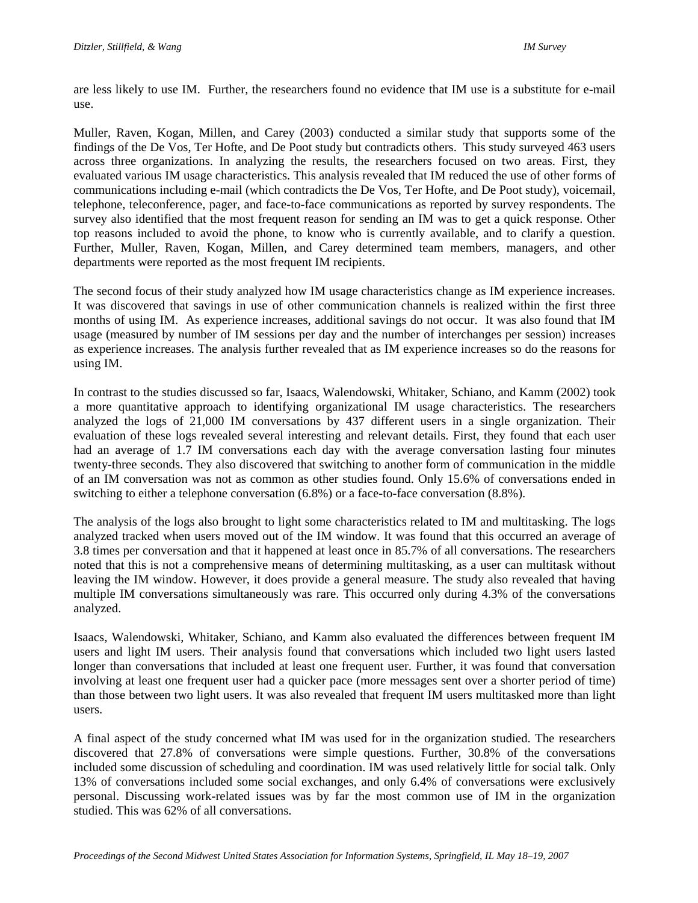are less likely to use IM. Further, the researchers found no evidence that IM use is a substitute for e-mail use.

Muller, Raven, Kogan, Millen, and Carey (2003) conducted a similar study that supports some of the findings of the De Vos, Ter Hofte, and De Poot study but contradicts others. This study surveyed 463 users across three organizations. In analyzing the results, the researchers focused on two areas. First, they evaluated various IM usage characteristics. This analysis revealed that IM reduced the use of other forms of communications including e-mail (which contradicts the De Vos, Ter Hofte, and De Poot study), voicemail, telephone, teleconference, pager, and face-to-face communications as reported by survey respondents. The survey also identified that the most frequent reason for sending an IM was to get a quick response. Other top reasons included to avoid the phone, to know who is currently available, and to clarify a question. Further, Muller, Raven, Kogan, Millen, and Carey determined team members, managers, and other departments were reported as the most frequent IM recipients.

The second focus of their study analyzed how IM usage characteristics change as IM experience increases. It was discovered that savings in use of other communication channels is realized within the first three months of using IM. As experience increases, additional savings do not occur. It was also found that IM usage (measured by number of IM sessions per day and the number of interchanges per session) increases as experience increases. The analysis further revealed that as IM experience increases so do the reasons for using IM.

In contrast to the studies discussed so far, Isaacs, Walendowski, Whitaker, Schiano, and Kamm (2002) took a more quantitative approach to identifying organizational IM usage characteristics. The researchers analyzed the logs of 21,000 IM conversations by 437 different users in a single organization. Their evaluation of these logs revealed several interesting and relevant details. First, they found that each user had an average of 1.7 IM conversations each day with the average conversation lasting four minutes twenty-three seconds. They also discovered that switching to another form of communication in the middle of an IM conversation was not as common as other studies found. Only 15.6% of conversations ended in switching to either a telephone conversation (6.8%) or a face-to-face conversation (8.8%).

The analysis of the logs also brought to light some characteristics related to IM and multitasking. The logs analyzed tracked when users moved out of the IM window. It was found that this occurred an average of 3.8 times per conversation and that it happened at least once in 85.7% of all conversations. The researchers noted that this is not a comprehensive means of determining multitasking, as a user can multitask without leaving the IM window. However, it does provide a general measure. The study also revealed that having multiple IM conversations simultaneously was rare. This occurred only during 4.3% of the conversations analyzed.

Isaacs, Walendowski, Whitaker, Schiano, and Kamm also evaluated the differences between frequent IM users and light IM users. Their analysis found that conversations which included two light users lasted longer than conversations that included at least one frequent user. Further, it was found that conversation involving at least one frequent user had a quicker pace (more messages sent over a shorter period of time) than those between two light users. It was also revealed that frequent IM users multitasked more than light users.

A final aspect of the study concerned what IM was used for in the organization studied. The researchers discovered that 27.8% of conversations were simple questions. Further, 30.8% of the conversations included some discussion of scheduling and coordination. IM was used relatively little for social talk. Only 13% of conversations included some social exchanges, and only 6.4% of conversations were exclusively personal. Discussing work-related issues was by far the most common use of IM in the organization studied. This was 62% of all conversations.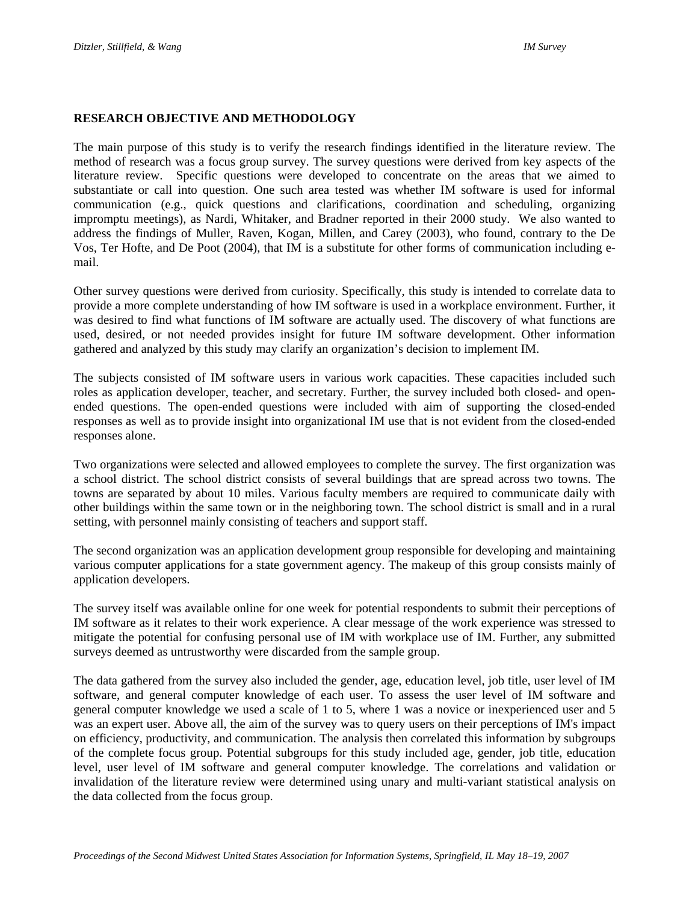#### **RESEARCH OBJECTIVE AND METHODOLOGY**

The main purpose of this study is to verify the research findings identified in the literature review. The method of research was a focus group survey. The survey questions were derived from key aspects of the literature review. Specific questions were developed to concentrate on the areas that we aimed to substantiate or call into question. One such area tested was whether IM software is used for informal communication (e.g., quick questions and clarifications, coordination and scheduling, organizing impromptu meetings), as Nardi, Whitaker, and Bradner reported in their 2000 study. We also wanted to address the findings of Muller, Raven, Kogan, Millen, and Carey (2003), who found, contrary to the De Vos, Ter Hofte, and De Poot (2004), that IM is a substitute for other forms of communication including email.

Other survey questions were derived from curiosity. Specifically, this study is intended to correlate data to provide a more complete understanding of how IM software is used in a workplace environment. Further, it was desired to find what functions of IM software are actually used. The discovery of what functions are used, desired, or not needed provides insight for future IM software development. Other information gathered and analyzed by this study may clarify an organization's decision to implement IM.

The subjects consisted of IM software users in various work capacities. These capacities included such roles as application developer, teacher, and secretary. Further, the survey included both closed- and openended questions. The open-ended questions were included with aim of supporting the closed-ended responses as well as to provide insight into organizational IM use that is not evident from the closed-ended responses alone.

Two organizations were selected and allowed employees to complete the survey. The first organization was a school district. The school district consists of several buildings that are spread across two towns. The towns are separated by about 10 miles. Various faculty members are required to communicate daily with other buildings within the same town or in the neighboring town. The school district is small and in a rural setting, with personnel mainly consisting of teachers and support staff.

The second organization was an application development group responsible for developing and maintaining various computer applications for a state government agency. The makeup of this group consists mainly of application developers.

The survey itself was available online for one week for potential respondents to submit their perceptions of IM software as it relates to their work experience. A clear message of the work experience was stressed to mitigate the potential for confusing personal use of IM with workplace use of IM. Further, any submitted surveys deemed as untrustworthy were discarded from the sample group.

The data gathered from the survey also included the gender, age, education level, job title, user level of IM software, and general computer knowledge of each user. To assess the user level of IM software and general computer knowledge we used a scale of 1 to 5, where 1 was a novice or inexperienced user and 5 was an expert user. Above all, the aim of the survey was to query users on their perceptions of IM's impact on efficiency, productivity, and communication. The analysis then correlated this information by subgroups of the complete focus group. Potential subgroups for this study included age, gender, job title, education level, user level of IM software and general computer knowledge. The correlations and validation or invalidation of the literature review were determined using unary and multi-variant statistical analysis on the data collected from the focus group.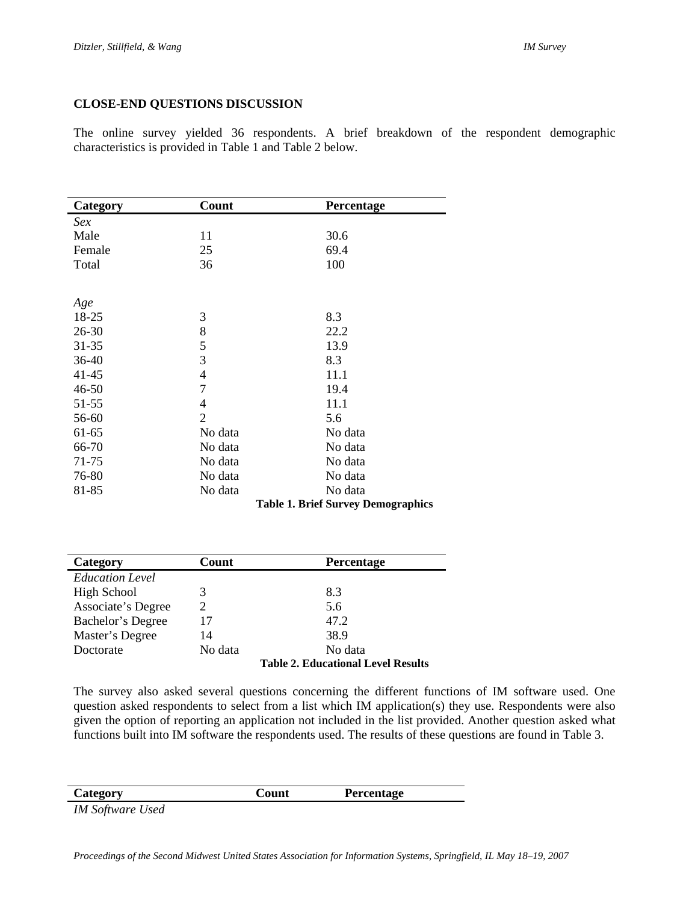#### **CLOSE-END QUESTIONS DISCUSSION**

The online survey yielded 36 respondents. A brief breakdown of the respondent demographic characteristics is provided in Table 1 and Table 2 below.

| Category  | Count          | Percentage                                |
|-----------|----------------|-------------------------------------------|
| Sex       |                |                                           |
| Male      | 11             | 30.6                                      |
| Female    | 25             | 69.4                                      |
| Total     | 36             | 100                                       |
|           |                |                                           |
| Age       |                |                                           |
| 18-25     | 3              | 8.3                                       |
| $26 - 30$ | 8              | 22.2                                      |
| $31 - 35$ | 5              | 13.9                                      |
| 36-40     | 3              | 8.3                                       |
| 41-45     | 4              | 11.1                                      |
| $46 - 50$ | 7              | 19.4                                      |
| 51-55     | 4              | 11.1                                      |
| 56-60     | $\overline{2}$ | 5.6                                       |
| 61-65     | No data        | No data                                   |
| 66-70     | No data        | No data                                   |
| 71-75     | No data        | No data                                   |
| 76-80     | No data        | No data                                   |
| 81-85     | No data        | No data                                   |
|           |                | <b>Table 1. Brief Survey Demographics</b> |

| Category               | Count          | <b>Percentage</b>                         |
|------------------------|----------------|-------------------------------------------|
| <b>Education Level</b> |                |                                           |
| <b>High School</b>     | 3              | 8.3                                       |
| Associate's Degree     | $\mathfrak{D}$ | 5.6                                       |
| Bachelor's Degree      | 17             | 47.2                                      |
| Master's Degree        | 14             | 38.9                                      |
| Doctorate              | No data        | No data                                   |
|                        |                | <b>Table 2. Educational Level Results</b> |

The survey also asked several questions concerning the different functions of IM software used. One question asked respondents to select from a list which IM application(s) they use. Respondents were also given the option of reporting an application not included in the list provided. Another question asked what functions built into IM software the respondents used. The results of these questions are found in Table 3.

| Category       |  | Count | Percentage |  |
|----------------|--|-------|------------|--|
| $\blacksquare$ |  |       |            |  |

*IM Software Used*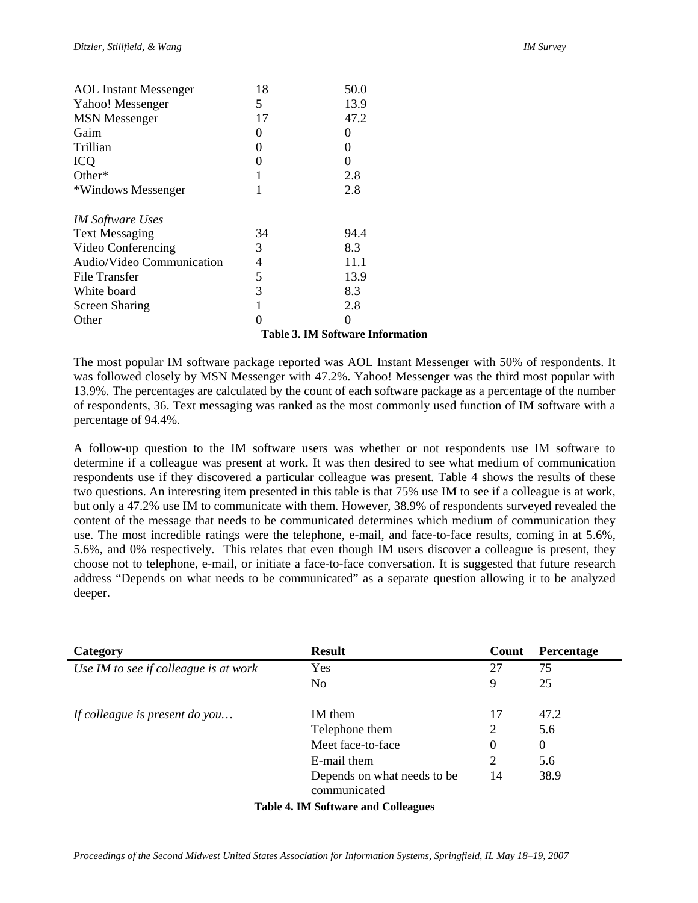| Other                        | 0  | $\Omega$ |
|------------------------------|----|----------|
| <b>Screen Sharing</b>        | 1  | 2.8      |
| White board                  | 3  | 8.3      |
| File Transfer                | 5  | 13.9     |
| Audio/Video Communication    | 4  | 11.1     |
| Video Conferencing           | 3  | 8.3      |
| <b>Text Messaging</b>        | 34 | 94.4     |
| <b>IM Software Uses</b>      |    |          |
| *Windows Messenger           | 1  | 2.8      |
| Other*                       | 1  | 2.8      |
| <b>ICQ</b>                   | 0  | 0        |
| Trillian                     | 0  | 0        |
| Gaim                         | 0  | 0        |
| <b>MSN</b> Messenger         | 17 | 47.2     |
| Yahoo! Messenger             | 5  | 13.9     |
| <b>AOL</b> Instant Messenger | 18 | 50.0     |
|                              |    |          |

**Table 3. IM Software Information** 

The most popular IM software package reported was AOL Instant Messenger with 50% of respondents. It was followed closely by MSN Messenger with 47.2%. Yahoo! Messenger was the third most popular with 13.9%. The percentages are calculated by the count of each software package as a percentage of the number of respondents, 36. Text messaging was ranked as the most commonly used function of IM software with a percentage of 94.4%.

A follow-up question to the IM software users was whether or not respondents use IM software to determine if a colleague was present at work. It was then desired to see what medium of communication respondents use if they discovered a particular colleague was present. Table 4 shows the results of these two questions. An interesting item presented in this table is that 75% use IM to see if a colleague is at work, but only a 47.2% use IM to communicate with them. However, 38.9% of respondents surveyed revealed the content of the message that needs to be communicated determines which medium of communication they use. The most incredible ratings were the telephone, e-mail, and face-to-face results, coming in at 5.6%, 5.6%, and 0% respectively. This relates that even though IM users discover a colleague is present, they choose not to telephone, e-mail, or initiate a face-to-face conversation. It is suggested that future research address "Depends on what needs to be communicated" as a separate question allowing it to be analyzed deeper.

| Category                              | <b>Result</b>                               | Count | <b>Percentage</b> |
|---------------------------------------|---------------------------------------------|-------|-------------------|
| Use IM to see if colleague is at work | Yes                                         | 27    | 75                |
|                                       | No                                          | 9     | 25                |
| If colleague is present do you        | IM them                                     | 17    | 47.2              |
|                                       | Telephone them                              | 2     | 5.6               |
|                                       | Meet face-to-face                           | 0     | $\theta$          |
|                                       | E-mail them                                 | 2     | 5.6               |
|                                       | Depends on what needs to be<br>communicated | 14    | 38.9              |
|                                       | <b>Table 4. IM Software and Colleagues</b>  |       |                   |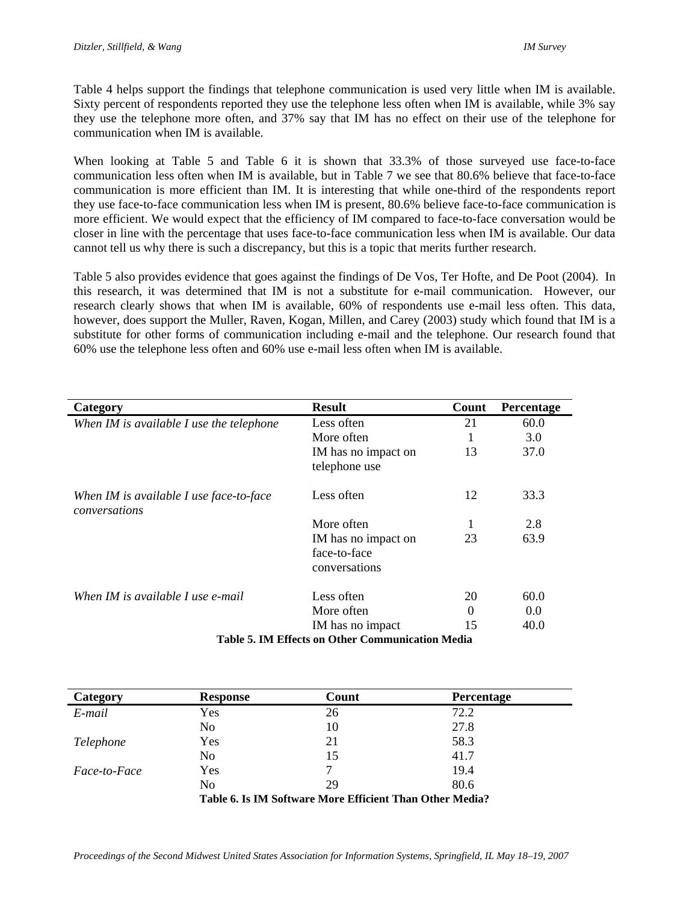Table 4 helps support the findings that telephone communication is used very little when IM is available. Sixty percent of respondents reported they use the telephone less often when IM is available, while 3% say they use the telephone more often, and 37% say that IM has no effect on their use of the telephone for communication when IM is available.

When looking at Table 5 and Table 6 it is shown that 33.3% of those surveyed use face-to-face communication less often when IM is available, but in Table 7 we see that 80.6% believe that face-to-face communication is more efficient than IM. It is interesting that while one-third of the respondents report they use face-to-face communication less when IM is present, 80.6% believe face-to-face communication is more efficient. We would expect that the efficiency of IM compared to face-to-face conversation would be closer in line with the percentage that uses face-to-face communication less when IM is available. Our data cannot tell us why there is such a discrepancy, but this is a topic that merits further research.

Table 5 also provides evidence that goes against the findings of De Vos, Ter Hofte, and De Poot (2004). In this research, it was determined that IM is not a substitute for e-mail communication. However, our research clearly shows that when IM is available, 60% of respondents use e-mail less often. This data, however, does support the Muller, Raven, Kogan, Millen, and Carey (2003) study which found that IM is a substitute for other forms of communication including e-mail and the telephone. Our research found that 60% use the telephone less often and 60% use e-mail less often when IM is available.

| Category                                                 | <b>Result</b>       | Count    | <b>Percentage</b> |  |
|----------------------------------------------------------|---------------------|----------|-------------------|--|
| When IM is available I use the telephone                 | Less often          | 21       | 60.0              |  |
|                                                          | More often          |          | 3.0               |  |
|                                                          | IM has no impact on | 13       | 37.0              |  |
|                                                          | telephone use       |          |                   |  |
| When IM is available I use face-to-face<br>conversations | Less often          | 12       | 33.3              |  |
|                                                          | More often          | 1        | 2.8               |  |
|                                                          | IM has no impact on | 23       | 63.9              |  |
|                                                          | face-to-face        |          |                   |  |
|                                                          | conversations       |          |                   |  |
| When IM is available I use e-mail                        | Less often          | 20       | 60.0              |  |
|                                                          | More often          | $\Omega$ | 0.0               |  |
|                                                          | IM has no impact    | 15       | 40.0              |  |
| <b>Table 5. IM Effects on Other Communication Media</b>  |                     |          |                   |  |

| Category            | <b>Response</b> | Count                                                    | <b>Percentage</b> |
|---------------------|-----------------|----------------------------------------------------------|-------------------|
| E-mail              | Yes             | 26                                                       | 72.2              |
|                     | N <sub>0</sub>  | 10                                                       | 27.8              |
| Telephone           | Yes             | 21                                                       | 58.3              |
|                     | N <sub>0</sub>  | 15                                                       | 41.7              |
| <i>Face-to-Face</i> | Yes             | 7                                                        | 19.4              |
|                     | No              | 29                                                       | 80.6              |
|                     |                 | Table 6. Is IM Software More Efficient Than Other Media? |                   |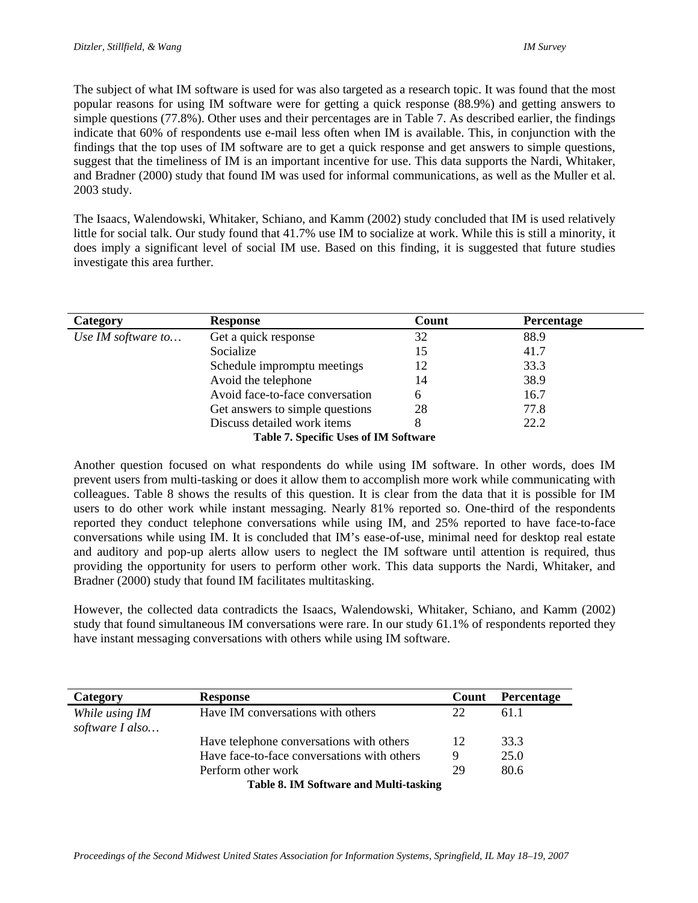The subject of what IM software is used for was also targeted as a research topic. It was found that the most popular reasons for using IM software were for getting a quick response (88.9%) and getting answers to simple questions (77.8%). Other uses and their percentages are in Table 7. As described earlier, the findings indicate that 60% of respondents use e-mail less often when IM is available. This, in conjunction with the findings that the top uses of IM software are to get a quick response and get answers to simple questions, suggest that the timeliness of IM is an important incentive for use. This data supports the Nardi, Whitaker, and Bradner (2000) study that found IM was used for informal communications, as well as the Muller et al. 2003 study.

The Isaacs, Walendowski, Whitaker, Schiano, and Kamm (2002) study concluded that IM is used relatively little for social talk. Our study found that 41.7% use IM to socialize at work. While this is still a minority, it does imply a significant level of social IM use. Based on this finding, it is suggested that future studies investigate this area further.

| Category           | <b>Response</b>                              | Count | Percentage |  |
|--------------------|----------------------------------------------|-------|------------|--|
| Use IM software to | Get a quick response                         | 32    | 88.9       |  |
|                    | Socialize                                    | 15    | 41.7       |  |
|                    | Schedule impromptu meetings                  | 12    | 33.3       |  |
|                    | Avoid the telephone                          | 14    | 38.9       |  |
|                    | Avoid face-to-face conversation              | 6     | 16.7       |  |
|                    | Get answers to simple questions              | 28    | 77.8       |  |
|                    | Discuss detailed work items                  |       | 22.2       |  |
|                    | <b>Table 7. Specific Uses of IM Software</b> |       |            |  |

Another question focused on what respondents do while using IM software. In other words, does IM prevent users from multi-tasking or does it allow them to accomplish more work while communicating with colleagues. Table 8 shows the results of this question. It is clear from the data that it is possible for IM users to do other work while instant messaging. Nearly 81% reported so. One-third of the respondents reported they conduct telephone conversations while using IM, and 25% reported to have face-to-face conversations while using IM. It is concluded that IM's ease-of-use, minimal need for desktop real estate and auditory and pop-up alerts allow users to neglect the IM software until attention is required, thus providing the opportunity for users to perform other work. This data supports the Nardi, Whitaker, and Bradner (2000) study that found IM facilitates multitasking.

However, the collected data contradicts the Isaacs, Walendowski, Whitaker, Schiano, and Kamm (2002) study that found simultaneous IM conversations were rare. In our study 61.1% of respondents reported they have instant messaging conversations with others while using IM software.

| Category                               | <b>Response</b>                             | Count | Percentage |
|----------------------------------------|---------------------------------------------|-------|------------|
| While using IM<br>software I also      | Have IM conversations with others           | 22    | 611        |
|                                        | Have telephone conversations with others    | 12    | 33.3       |
|                                        | Have face-to-face conversations with others | Q     | 25.0       |
|                                        | Perform other work                          | 29    | 80.6       |
| Table 8. IM Software and Multi-tasking |                                             |       |            |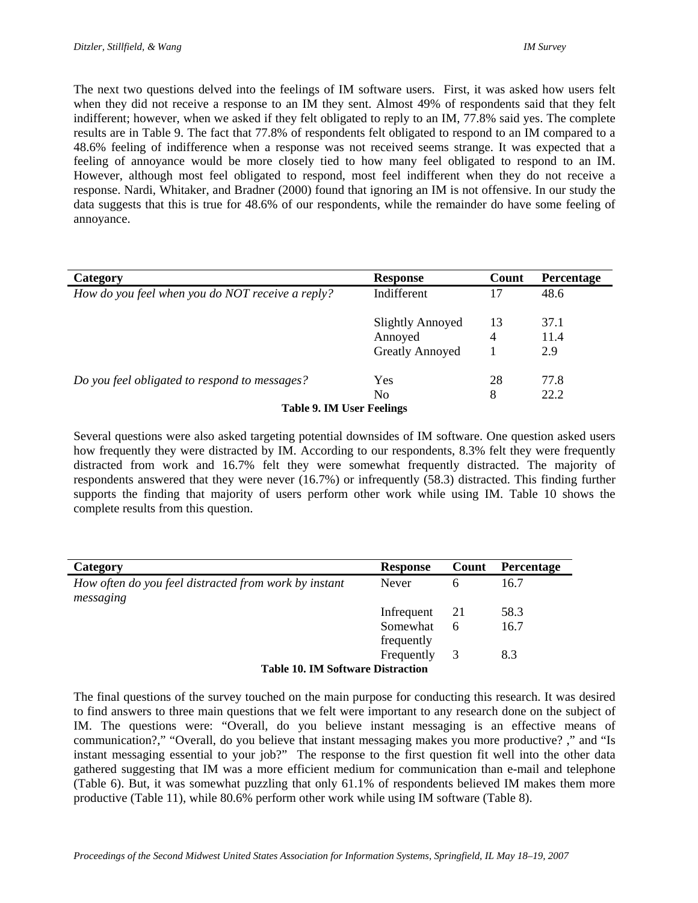The next two questions delved into the feelings of IM software users. First, it was asked how users felt when they did not receive a response to an IM they sent. Almost 49% of respondents said that they felt indifferent; however, when we asked if they felt obligated to reply to an IM, 77.8% said yes. The complete results are in Table 9. The fact that 77.8% of respondents felt obligated to respond to an IM compared to a 48.6% feeling of indifference when a response was not received seems strange. It was expected that a feeling of annoyance would be more closely tied to how many feel obligated to respond to an IM. However, although most feel obligated to respond, most feel indifferent when they do not receive a response. Nardi, Whitaker, and Bradner (2000) found that ignoring an IM is not offensive. In our study the data suggests that this is true for 48.6% of our respondents, while the remainder do have some feeling of annoyance.

| Category                                         | <b>Response</b>         | Count | Percentage |
|--------------------------------------------------|-------------------------|-------|------------|
| How do you feel when you do NOT receive a reply? | Indifferent             | 17    | 48.6       |
|                                                  | <b>Slightly Annoyed</b> | 13    | 37.1       |
|                                                  | Annoyed                 | 4     | 11.4       |
|                                                  | <b>Greatly Annoyed</b>  |       | 2.9        |
| Do you feel obligated to respond to messages?    | Yes                     | 28    | 77.8       |
|                                                  | N <sub>0</sub>          | 8     | 22.2       |
| Table 9. IM User Feelings                        |                         |       |            |

Several questions were also asked targeting potential downsides of IM software. One question asked users how frequently they were distracted by IM. According to our respondents, 8.3% felt they were frequently distracted from work and 16.7% felt they were somewhat frequently distracted. The majority of respondents answered that they were never (16.7%) or infrequently (58.3) distracted. This finding further supports the finding that majority of users perform other work while using IM. Table 10 shows the complete results from this question.

| Category                                                           | <b>Response</b> | Count | <b>Percentage</b> |
|--------------------------------------------------------------------|-----------------|-------|-------------------|
| How often do you feel distracted from work by instant<br>messaging | Never           | 6     | 16.7              |
|                                                                    | Infrequent      | -21   | 58.3              |
|                                                                    | Somewhat        | 6     | 16.7              |
|                                                                    | frequently      |       |                   |
|                                                                    | Frequently      | 3     | 8.3               |
| <b>Table 10. IM Software Distraction</b>                           |                 |       |                   |

The final questions of the survey touched on the main purpose for conducting this research. It was desired to find answers to three main questions that we felt were important to any research done on the subject of IM. The questions were: "Overall, do you believe instant messaging is an effective means of communication?," "Overall, do you believe that instant messaging makes you more productive? ," and "Is instant messaging essential to your job?" The response to the first question fit well into the other data gathered suggesting that IM was a more efficient medium for communication than e-mail and telephone (Table 6). But, it was somewhat puzzling that only 61.1% of respondents believed IM makes them more productive (Table 11), while 80.6% perform other work while using IM software (Table 8).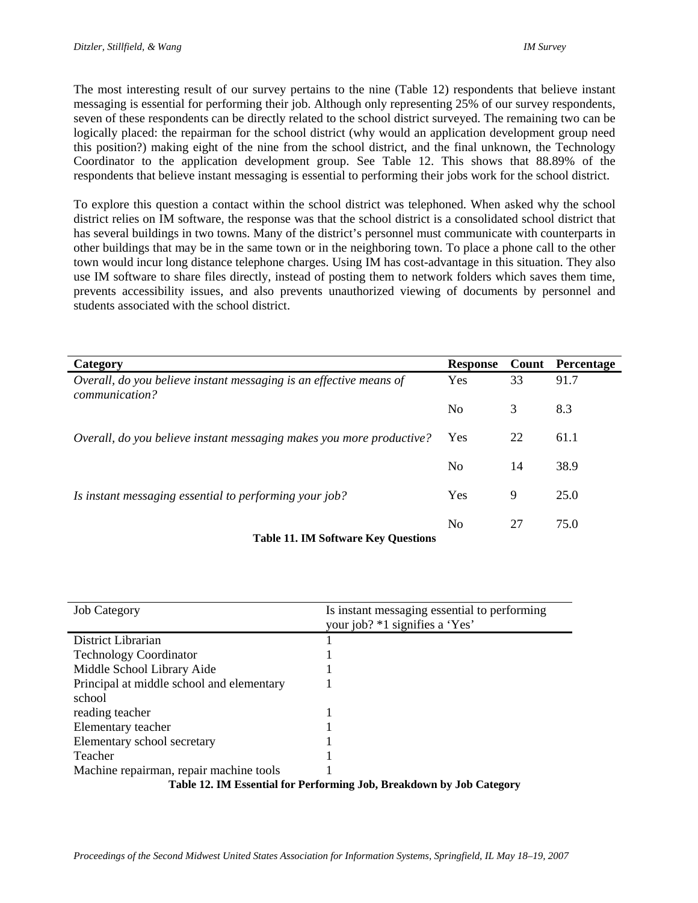The most interesting result of our survey pertains to the nine (Table 12) respondents that believe instant messaging is essential for performing their job. Although only representing 25% of our survey respondents, seven of these respondents can be directly related to the school district surveyed. The remaining two can be logically placed: the repairman for the school district (why would an application development group need this position?) making eight of the nine from the school district, and the final unknown, the Technology Coordinator to the application development group. See Table 12. This shows that 88.89% of the respondents that believe instant messaging is essential to performing their jobs work for the school district.

To explore this question a contact within the school district was telephoned. When asked why the school district relies on IM software, the response was that the school district is a consolidated school district that has several buildings in two towns. Many of the district's personnel must communicate with counterparts in other buildings that may be in the same town or in the neighboring town. To place a phone call to the other town would incur long distance telephone charges. Using IM has cost-advantage in this situation. They also use IM software to share files directly, instead of posting them to network folders which saves them time, prevents accessibility issues, and also prevents unauthorized viewing of documents by personnel and students associated with the school district.

| Category                                                                                    | <b>Response</b> |    | <b>Count</b> Percentage |
|---------------------------------------------------------------------------------------------|-----------------|----|-------------------------|
| Overall, do you believe instant messaging is an effective means of<br><i>communication?</i> | Yes             | 33 | 91.7                    |
|                                                                                             | N <sub>0</sub>  | 3  | 8.3                     |
| Overall, do you believe instant messaging makes you more productive?                        | Yes             | 22 | 61.1                    |
|                                                                                             | N <sub>0</sub>  | 14 | 38.9                    |
| Is instant messaging essential to performing your job?                                      | Yes             | 9  | 25.0                    |
| <b>Table 11. IM Software Key Questions</b>                                                  | N <sub>0</sub>  | 27 | 75.0                    |

| <b>Job Category</b>                                                  | Is instant messaging essential to performing<br>your job? *1 signifies a 'Yes' |
|----------------------------------------------------------------------|--------------------------------------------------------------------------------|
| District Librarian                                                   |                                                                                |
| <b>Technology Coordinator</b>                                        |                                                                                |
| Middle School Library Aide                                           |                                                                                |
| Principal at middle school and elementary                            |                                                                                |
| school                                                               |                                                                                |
| reading teacher                                                      |                                                                                |
| Elementary teacher                                                   |                                                                                |
| Elementary school secretary                                          |                                                                                |
| Teacher                                                              |                                                                                |
| Machine repairman, repair machine tools                              |                                                                                |
| Table 12. IM Essential for Performing Job, Breakdown by Job Category |                                                                                |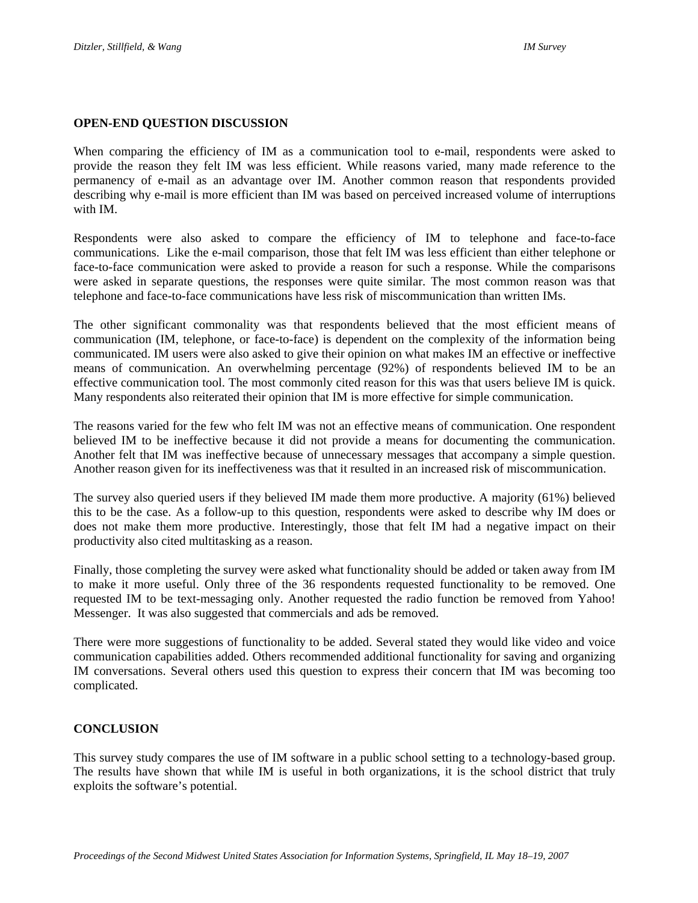#### **OPEN-END QUESTION DISCUSSION**

When comparing the efficiency of IM as a communication tool to e-mail, respondents were asked to provide the reason they felt IM was less efficient. While reasons varied, many made reference to the permanency of e-mail as an advantage over IM. Another common reason that respondents provided describing why e-mail is more efficient than IM was based on perceived increased volume of interruptions with IM.

Respondents were also asked to compare the efficiency of IM to telephone and face-to-face communications. Like the e-mail comparison, those that felt IM was less efficient than either telephone or face-to-face communication were asked to provide a reason for such a response. While the comparisons were asked in separate questions, the responses were quite similar. The most common reason was that telephone and face-to-face communications have less risk of miscommunication than written IMs.

The other significant commonality was that respondents believed that the most efficient means of communication (IM, telephone, or face-to-face) is dependent on the complexity of the information being communicated. IM users were also asked to give their opinion on what makes IM an effective or ineffective means of communication. An overwhelming percentage (92%) of respondents believed IM to be an effective communication tool. The most commonly cited reason for this was that users believe IM is quick. Many respondents also reiterated their opinion that IM is more effective for simple communication.

The reasons varied for the few who felt IM was not an effective means of communication. One respondent believed IM to be ineffective because it did not provide a means for documenting the communication. Another felt that IM was ineffective because of unnecessary messages that accompany a simple question. Another reason given for its ineffectiveness was that it resulted in an increased risk of miscommunication.

The survey also queried users if they believed IM made them more productive. A majority (61%) believed this to be the case. As a follow-up to this question, respondents were asked to describe why IM does or does not make them more productive. Interestingly, those that felt IM had a negative impact on their productivity also cited multitasking as a reason.

Finally, those completing the survey were asked what functionality should be added or taken away from IM to make it more useful. Only three of the 36 respondents requested functionality to be removed. One requested IM to be text-messaging only. Another requested the radio function be removed from Yahoo! Messenger. It was also suggested that commercials and ads be removed.

There were more suggestions of functionality to be added. Several stated they would like video and voice communication capabilities added. Others recommended additional functionality for saving and organizing IM conversations. Several others used this question to express their concern that IM was becoming too complicated.

#### **CONCLUSION**

This survey study compares the use of IM software in a public school setting to a technology-based group. The results have shown that while IM is useful in both organizations, it is the school district that truly exploits the software's potential.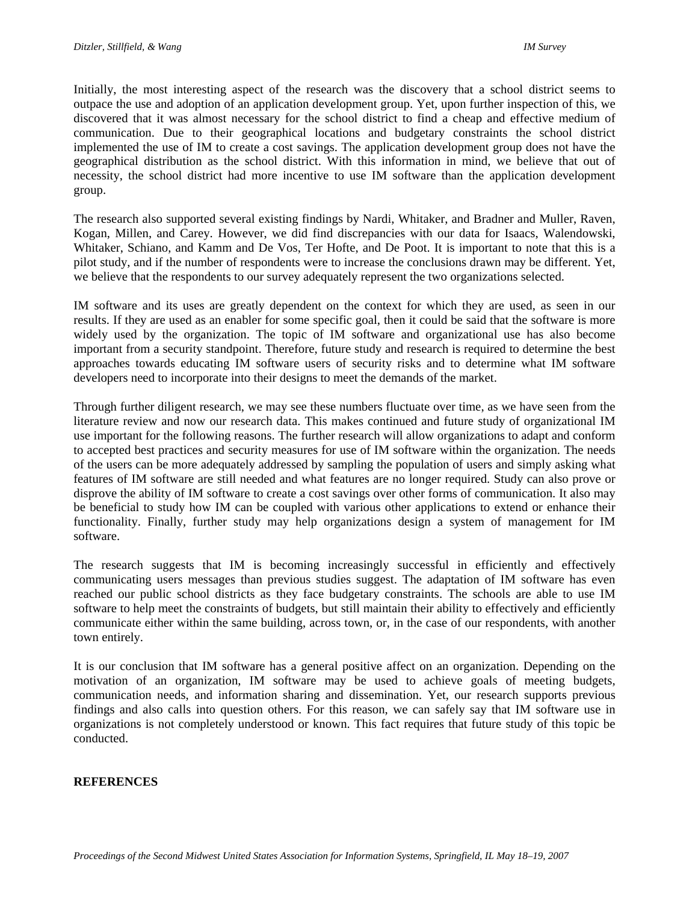Initially, the most interesting aspect of the research was the discovery that a school district seems to outpace the use and adoption of an application development group. Yet, upon further inspection of this, we discovered that it was almost necessary for the school district to find a cheap and effective medium of communication. Due to their geographical locations and budgetary constraints the school district implemented the use of IM to create a cost savings. The application development group does not have the geographical distribution as the school district. With this information in mind, we believe that out of necessity, the school district had more incentive to use IM software than the application development group.

The research also supported several existing findings by Nardi, Whitaker, and Bradner and Muller, Raven, Kogan, Millen, and Carey. However, we did find discrepancies with our data for Isaacs, Walendowski, Whitaker, Schiano, and Kamm and De Vos, Ter Hofte, and De Poot. It is important to note that this is a pilot study, and if the number of respondents were to increase the conclusions drawn may be different. Yet, we believe that the respondents to our survey adequately represent the two organizations selected.

IM software and its uses are greatly dependent on the context for which they are used, as seen in our results. If they are used as an enabler for some specific goal, then it could be said that the software is more widely used by the organization. The topic of IM software and organizational use has also become important from a security standpoint. Therefore, future study and research is required to determine the best approaches towards educating IM software users of security risks and to determine what IM software developers need to incorporate into their designs to meet the demands of the market.

Through further diligent research, we may see these numbers fluctuate over time, as we have seen from the literature review and now our research data. This makes continued and future study of organizational IM use important for the following reasons. The further research will allow organizations to adapt and conform to accepted best practices and security measures for use of IM software within the organization. The needs of the users can be more adequately addressed by sampling the population of users and simply asking what features of IM software are still needed and what features are no longer required. Study can also prove or disprove the ability of IM software to create a cost savings over other forms of communication. It also may be beneficial to study how IM can be coupled with various other applications to extend or enhance their functionality. Finally, further study may help organizations design a system of management for IM software.

The research suggests that IM is becoming increasingly successful in efficiently and effectively communicating users messages than previous studies suggest. The adaptation of IM software has even reached our public school districts as they face budgetary constraints. The schools are able to use IM software to help meet the constraints of budgets, but still maintain their ability to effectively and efficiently communicate either within the same building, across town, or, in the case of our respondents, with another town entirely.

It is our conclusion that IM software has a general positive affect on an organization. Depending on the motivation of an organization, IM software may be used to achieve goals of meeting budgets, communication needs, and information sharing and dissemination. Yet, our research supports previous findings and also calls into question others. For this reason, we can safely say that IM software use in organizations is not completely understood or known. This fact requires that future study of this topic be conducted.

#### **REFERENCES**